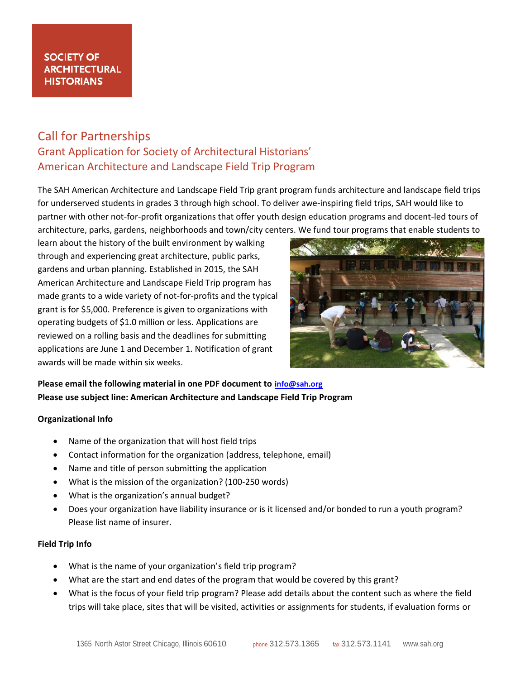## **SOCIETY OF ARCHITECTURAL HISTORIANS**

# Call for Partnerships Grant Application for Society of Architectural Historians' American Architecture and Landscape Field Trip Program

The SAH American Architecture and Landscape Field Trip grant program funds architecture and landscape field trips for underserved students in grades 3 through high school. To deliver awe-inspiring field trips, SAH would like to partner with other not-for-profit organizations that offer youth design education programs and docent-led tours of architecture, parks, gardens, neighborhoods and town/city centers. We fund tour programs that enable students to

learn about the history of the built environment by walking through and experiencing great architecture, public parks, gardens and urban planning. Established in 2015, the SAH American Architecture and Landscape Field Trip program has made grants to a wide variety of not-for-profits and the typical grant is for \$5,000. Preference is given to organizations with operating budgets of \$1.0 million or less. Applications are reviewed on a rolling basis and the deadlines for submitting applications are June 1 and December 1. Notification of grant awards will be made within six weeks.



## **Please email the following material in one PDF document to [info@sah.org](mailto:info@sah.org) Please use subject line: American Architecture and Landscape Field Trip Program**

#### **Organizational Info**

- Name of the organization that will host field trips
- Contact information for the organization (address, telephone, email)
- Name and title of person submitting the application
- What is the mission of the organization? (100-250 words)
- What is the organization's annual budget?
- Does your organization have liability insurance or is it licensed and/or bonded to run a youth program? Please list name of insurer.

### **Field Trip Info**

- What is the name of your organization's field trip program?
- What are the start and end dates of the program that would be covered by this grant?
- What is the focus of your field trip program? Please add details about the content such as where the field trips will take place, sites that will be visited, activities or assignments for students, if evaluation forms or